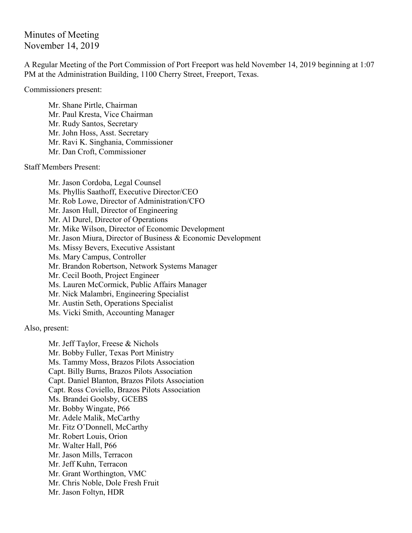Minutes of Meeting November 14, 2019

A Regular Meeting of the Port Commission of Port Freeport was held November 14, 2019 beginning at 1:07 PM at the Administration Building, 1100 Cherry Street, Freeport, Texas.

Commissioners present:

Mr. Shane Pirtle, Chairman Mr. Paul Kresta, Vice Chairman Mr. Rudy Santos, Secretary Mr. John Hoss, Asst. Secretary Mr. Ravi K. Singhania, Commissioner Mr. Dan Croft, Commissioner

Staff Members Present:

Mr. Jason Cordoba, Legal Counsel Ms. Phyllis Saathoff, Executive Director/CEO Mr. Rob Lowe, Director of Administration/CFO Mr. Jason Hull, Director of Engineering Mr. Al Durel, Director of Operations Mr. Mike Wilson, Director of Economic Development Mr. Jason Miura, Director of Business & Economic Development Ms. Missy Bevers, Executive Assistant Ms. Mary Campus, Controller Mr. Brandon Robertson, Network Systems Manager Mr. Cecil Booth, Project Engineer Ms. Lauren McCormick, Public Affairs Manager Mr. Nick Malambri, Engineering Specialist Mr. Austin Seth, Operations Specialist Ms. Vicki Smith, Accounting Manager

Also, present:

Mr. Jeff Taylor, Freese & Nichols Mr. Bobby Fuller, Texas Port Ministry Ms. Tammy Moss, Brazos Pilots Association Capt. Billy Burns, Brazos Pilots Association Capt. Daniel Blanton, Brazos Pilots Association Capt. Ross Coviello, Brazos Pilots Association Ms. Brandei Goolsby, GCEBS Mr. Bobby Wingate, P66 Mr. Adele Malik, McCarthy Mr. Fitz O'Donnell, McCarthy Mr. Robert Louis, Orion Mr. Walter Hall, P66 Mr. Jason Mills, Terracon Mr. Jeff Kuhn, Terracon Mr. Grant Worthington, VMC Mr. Chris Noble, Dole Fresh Fruit Mr. Jason Foltyn, HDR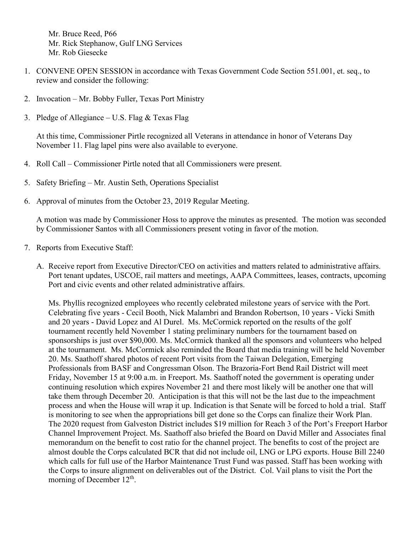Mr. Bruce Reed, P66 Mr. Rick Stephanow, Gulf LNG Services Mr. Rob Giesecke

- 1. CONVENE OPEN SESSION in accordance with Texas Government Code Section 551.001, et. seq., to review and consider the following:
- 2. Invocation Mr. Bobby Fuller, Texas Port Ministry
- 3. Pledge of Allegiance U.S. Flag  $&$  Texas Flag

At this time, Commissioner Pirtle recognized all Veterans in attendance in honor of Veterans Day November 11. Flag lapel pins were also available to everyone.

- 4. Roll Call Commissioner Pirtle noted that all Commissioners were present.
- 5. Safety Briefing Mr. Austin Seth, Operations Specialist
- 6. Approval of minutes from the October 23, 2019 Regular Meeting.

A motion was made by Commissioner Hoss to approve the minutes as presented. The motion was seconded by Commissioner Santos with all Commissioners present voting in favor of the motion.

- 7. Reports from Executive Staff:
	- A. Receive report from Executive Director/CEO on activities and matters related to administrative affairs. Port tenant updates, USCOE, rail matters and meetings, AAPA Committees, leases, contracts, upcoming Port and civic events and other related administrative affairs.

Ms. Phyllis recognized employees who recently celebrated milestone years of service with the Port. Celebrating five years - Cecil Booth, Nick Malambri and Brandon Robertson, 10 years - Vicki Smith and 20 years - David Lopez and Al Durel. Ms. McCormick reported on the results of the golf tournament recently held November 1 stating preliminary numbers for the tournament based on sponsorships is just over \$90,000. Ms. McCormick thanked all the sponsors and volunteers who helped at the tournament. Ms. McCormick also reminded the Board that media training will be held November 20. Ms. Saathoff shared photos of recent Port visits from the Taiwan Delegation, Emerging Professionals from BASF and Congressman Olson. The Brazoria-Fort Bend Rail District will meet Friday, November 15 at 9:00 a.m. in Freeport. Ms. Saathoff noted the government is operating under continuing resolution which expires November 21 and there most likely will be another one that will take them through December 20. Anticipation is that this will not be the last due to the impeachment process and when the House will wrap it up. Indication is that Senate will be forced to hold a trial. Staff is monitoring to see when the appropriations bill get done so the Corps can finalize their Work Plan. The 2020 request from Galveston District includes \$19 million for Reach 3 of the Port's Freeport Harbor Channel Improvement Project. Ms. Saathoff also briefed the Board on David Miller and Associates final memorandum on the benefit to cost ratio for the channel project. The benefits to cost of the project are almost double the Corps calculated BCR that did not include oil, LNG or LPG exports. House Bill 2240 which calls for full use of the Harbor Maintenance Trust Fund was passed. Staff has been working with the Corps to insure alignment on deliverables out of the District. Col. Vail plans to visit the Port the morning of December 12<sup>th</sup>.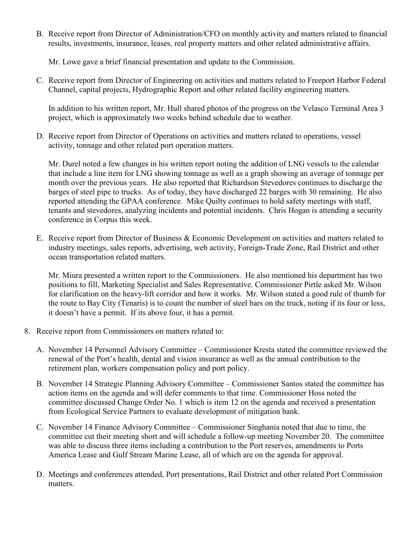B. Receive report from Director of Administration/CFO on monthly activity and matters related to financial results, investments, insurance, leases, real property matters and other related administrative affairs.

Mr. Lowe gave a brief financial presentation and update to the Commission.

C. Receive report from Director of Engineering on activities and matters related to Freeport Harbor Federal Channel, capital projects, Hydrographic Report and other related facility engineering matters.

In addition to his written report, Mr. Hull shared photos of the progress on the Velasco Terminal Area 3 project, which is approximately two weeks behind schedule due to weather.

D. Receive report from Director of Operations on activities and matters related to operations, vessel activity, tonnage and other related port operation matters.

Mr. Durel noted a few changes in his written report noting the addition of LNG vessels to the calendar that include a line item for LNG showing tonnage as well as a graph showing an average of tonnage per month over the previous years. He also reported that Richardson Stevedores continues to discharge the barges of steel pipe to trucks. As of today, they have discharged 22 barges with 30 remaining. He also reported attending the GPAA conference. Mike Quilty continues to hold safety meetings with staff, tenants and stevedores, analyzing incidents and potential incidents. Chris Hogan is attending a security conference in Corpus this week.

E. Receive report from Director of Business & Economic Development on activities and matters related to industry meetings, sales reports, advertising, web activity, Foreign-Trade Zone, Rail District and other ocean transportation related matters.

Mr. Miura presented a written report to the Commissioners. He also mentioned his department has two positions to fill, Marketing Specialist and Sales Representative. Commissioner Pirtle asked Mr. Wilson for clarification on the heavy-lift corridor and how it works. Mr. Wilson stated a good rule of thumb for the route to Bay City (Tenaris) is to count the number of steel bars on the truck, noting if its four or less, it doesn't have a permit. If its above four, it has a permit.

- 8. Receive report from Commissioners on matters related to:
	- A. November 14 Personnel Advisory Committee Commissioner Kresta stated the committee reviewed the renewal of the Port's health, dental and vision insurance as well as the annual contribution to the retirement plan, workers compensation policy and port policy.
	- B. November 14 Strategic Planning Advisory Committee Commissioner Santos stated the committee has action items on the agenda and will defer comments to that time. Commissioner Hoss noted the committee discussed Change Order No. 1 which is item 12 on the agenda and received a presentation from Ecological Service Partners to evaluate development of mitigation bank.
	- C. November 14 Finance Advisory Committee Commissioner Singhania noted that due to time, the committee cut their meeting short and will schedule a follow-up meeting November 20. The committee was able to discuss three items including a contribution to the Port reserves, amendments to Ports America Lease and Gulf Stream Marine Lease, all of which are on the agenda for approval.
	- D. Meetings and conferences attended, Port presentations, Rail District and other related Port Commission matters.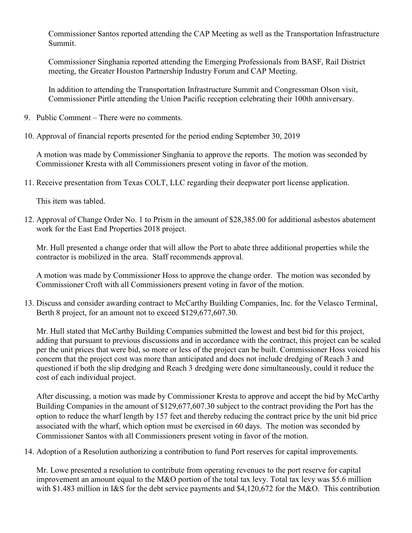Commissioner Santos reported attending the CAP Meeting as well as the Transportation Infrastructure Summit.

Commissioner Singhania reported attending the Emerging Professionals from BASF, Rail District meeting, the Greater Houston Partnership Industry Forum and CAP Meeting.

In addition to attending the Transportation Infrastructure Summit and Congressman Olson visit, Commissioner Pirtle attending the Union Pacific reception celebrating their 100th anniversary.

- 9. Public Comment There were no comments.
- 10. Approval of financial reports presented for the period ending September 30, 2019

A motion was made by Commissioner Singhania to approve the reports. The motion was seconded by Commissioner Kresta with all Commissioners present voting in favor of the motion.

11. Receive presentation from Texas COLT, LLC regarding their deepwater port license application.

This item was tabled.

12. Approval of Change Order No. 1 to Prism in the amount of \$28,385.00 for additional asbestos abatement work for the East End Properties 2018 project.

Mr. Hull presented a change order that will allow the Port to abate three additional properties while the contractor is mobilized in the area. Staff recommends approval.

A motion was made by Commissioner Hoss to approve the change order. The motion was seconded by Commissioner Croft with all Commissioners present voting in favor of the motion.

13. Discuss and consider awarding contract to McCarthy Building Companies, Inc. for the Velasco Terminal, Berth 8 project, for an amount not to exceed \$129,677,607.30.

Mr. Hull stated that McCarthy Building Companies submitted the lowest and best bid for this project, adding that pursuant to previous discussions and in accordance with the contract, this project can be scaled per the unit prices that were bid, so more or less of the project can be built. Commissioner Hoss voiced his concern that the project cost was more than anticipated and does not include dredging of Reach 3 and questioned if both the slip dredging and Reach 3 dredging were done simultaneously, could it reduce the cost of each individual project.

After discussing, a motion was made by Commissioner Kresta to approve and accept the bid by McCarthy Building Companies in the amount of \$129,677,607.30 subject to the contract providing the Port has the option to reduce the wharf length by 157 feet and thereby reducing the contract price by the unit bid price associated with the wharf, which option must be exercised in 60 days. The motion was seconded by Commissioner Santos with all Commissioners present voting in favor of the motion.

14. Adoption of a Resolution authorizing a contribution to fund Port reserves for capital improvements.

Mr. Lowe presented a resolution to contribute from operating revenues to the port reserve for capital improvement an amount equal to the M&O portion of the total tax levy. Total tax levy was \$5.6 million with \$1.483 million in I&S for the debt service payments and \$4,120,672 for the M&O. This contribution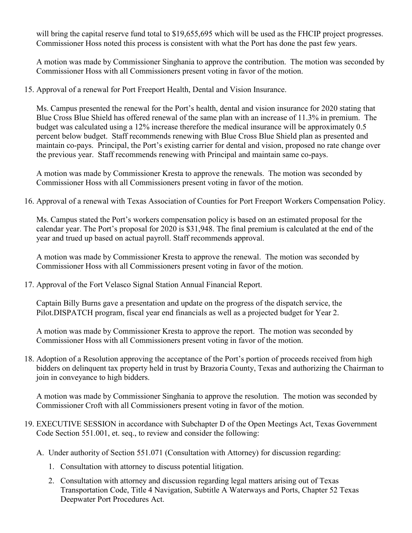will bring the capital reserve fund total to \$19,655,695 which will be used as the FHCIP project progresses. Commissioner Hoss noted this process is consistent with what the Port has done the past few years.

A motion was made by Commissioner Singhania to approve the contribution. The motion was seconded by Commissioner Hoss with all Commissioners present voting in favor of the motion.

15. Approval of a renewal for Port Freeport Health, Dental and Vision Insurance.

Ms. Campus presented the renewal for the Port's health, dental and vision insurance for 2020 stating that Blue Cross Blue Shield has offered renewal of the same plan with an increase of 11.3% in premium. The budget was calculated using a 12% increase therefore the medical insurance will be approximately 0.5 percent below budget. Staff recommends renewing with Blue Cross Blue Shield plan as presented and maintain co-pays. Principal, the Port's existing carrier for dental and vision, proposed no rate change over the previous year. Staff recommends renewing with Principal and maintain same co-pays.

A motion was made by Commissioner Kresta to approve the renewals. The motion was seconded by Commissioner Hoss with all Commissioners present voting in favor of the motion.

16. Approval of a renewal with Texas Association of Counties for Port Freeport Workers Compensation Policy.

Ms. Campus stated the Port's workers compensation policy is based on an estimated proposal for the calendar year. The Port's proposal for 2020 is \$31,948. The final premium is calculated at the end of the year and trued up based on actual payroll. Staff recommends approval.

A motion was made by Commissioner Kresta to approve the renewal. The motion was seconded by Commissioner Hoss with all Commissioners present voting in favor of the motion.

17. Approval of the Fort Velasco Signal Station Annual Financial Report.

Captain Billy Burns gave a presentation and update on the progress of the dispatch service, the Pilot.DISPATCH program, fiscal year end financials as well as a projected budget for Year 2.

A motion was made by Commissioner Kresta to approve the report. The motion was seconded by Commissioner Hoss with all Commissioners present voting in favor of the motion.

18. Adoption of a Resolution approving the acceptance of the Port's portion of proceeds received from high bidders on delinquent tax property held in trust by Brazoria County, Texas and authorizing the Chairman to join in conveyance to high bidders.

A motion was made by Commissioner Singhania to approve the resolution. The motion was seconded by Commissioner Croft with all Commissioners present voting in favor of the motion.

- 19. EXECUTIVE SESSION in accordance with Subchapter D of the Open Meetings Act, Texas Government Code Section 551.001, et. seq., to review and consider the following:
	- A. Under authority of Section 551.071 (Consultation with Attorney) for discussion regarding:
		- 1. Consultation with attorney to discuss potential litigation.
		- 2. Consultation with attorney and discussion regarding legal matters arising out of Texas Transportation Code, Title 4 Navigation, Subtitle A Waterways and Ports, Chapter 52 Texas Deepwater Port Procedures Act.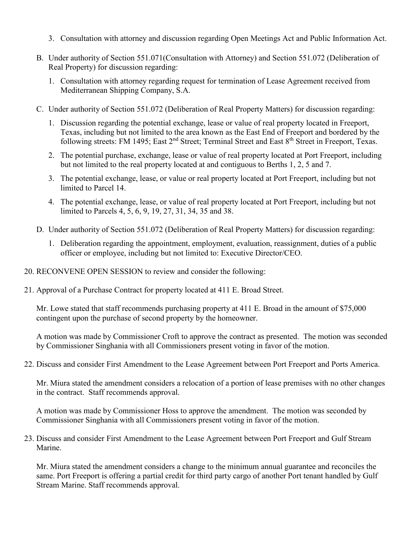- 3. Consultation with attorney and discussion regarding Open Meetings Act and Public Information Act.
- B. Under authority of Section 551.071(Consultation with Attorney) and Section 551.072 (Deliberation of Real Property) for discussion regarding:
	- 1. Consultation with attorney regarding request for termination of Lease Agreement received from Mediterranean Shipping Company, S.A.
- C. Under authority of Section 551.072 (Deliberation of Real Property Matters) for discussion regarding:
	- 1. Discussion regarding the potential exchange, lease or value of real property located in Freeport, Texas, including but not limited to the area known as the East End of Freeport and bordered by the following streets: FM 1495; East 2<sup>nd</sup> Street; Terminal Street and East 8<sup>th</sup> Street in Freeport, Texas.
	- 2. The potential purchase, exchange, lease or value of real property located at Port Freeport, including but not limited to the real property located at and contiguous to Berths 1, 2, 5 and 7.
	- 3. The potential exchange, lease, or value or real property located at Port Freeport, including but not limited to Parcel 14.
	- 4. The potential exchange, lease, or value of real property located at Port Freeport, including but not limited to Parcels 4, 5, 6, 9, 19, 27, 31, 34, 35 and 38.
- D. Under authority of Section 551.072 (Deliberation of Real Property Matters) for discussion regarding:
	- 1. Deliberation regarding the appointment, employment, evaluation, reassignment, duties of a public officer or employee, including but not limited to: Executive Director/CEO.
- 20. RECONVENE OPEN SESSION to review and consider the following:
- 21. Approval of a Purchase Contract for property located at 411 E. Broad Street.

Mr. Lowe stated that staff recommends purchasing property at 411 E. Broad in the amount of \$75,000 contingent upon the purchase of second property by the homeowner.

A motion was made by Commissioner Croft to approve the contract as presented. The motion was seconded by Commissioner Singhania with all Commissioners present voting in favor of the motion.

22. Discuss and consider First Amendment to the Lease Agreement between Port Freeport and Ports America.

Mr. Miura stated the amendment considers a relocation of a portion of lease premises with no other changes in the contract. Staff recommends approval.

A motion was made by Commissioner Hoss to approve the amendment. The motion was seconded by Commissioner Singhania with all Commissioners present voting in favor of the motion.

23. Discuss and consider First Amendment to the Lease Agreement between Port Freeport and Gulf Stream Marine.

Mr. Miura stated the amendment considers a change to the minimum annual guarantee and reconciles the same. Port Freeport is offering a partial credit for third party cargo of another Port tenant handled by Gulf Stream Marine. Staff recommends approval.